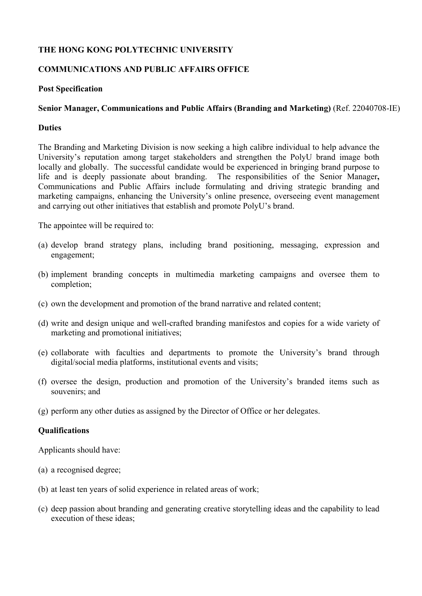# **THE HONG KONG POLYTECHNIC UNIVERSITY**

# **COMMUNICATIONS AND PUBLIC AFFAIRS OFFICE**

#### **Post Specification**

### **Senior Manager, Communications and Public Affairs (Branding and Marketing)** (Ref. 22040708-IE)

#### **Duties**

The Branding and Marketing Division is now seeking a high calibre individual to help advance the University's reputation among target stakeholders and strengthen the PolyU brand image both locally and globally. The successful candidate would be experienced in bringing brand purpose to life and is deeply passionate about branding. The responsibilities of the Senior Manager**,**  Communications and Public Affairs include formulating and driving strategic branding and marketing campaigns, enhancing the University's online presence, overseeing event management and carrying out other initiatives that establish and promote PolyU's brand.

The appointee will be required to:

- (a) develop brand strategy plans, including brand positioning, messaging, expression and engagement;
- (b) implement branding concepts in multimedia marketing campaigns and oversee them to completion;
- (c) own the development and promotion of the brand narrative and related content;
- (d) write and design unique and well-crafted branding manifestos and copies for a wide variety of marketing and promotional initiatives;
- (e) collaborate with faculties and departments to promote the University's brand through digital/social media platforms, institutional events and visits;
- (f) oversee the design, production and promotion of the University's branded items such as souvenirs; and
- (g) perform any other duties as assigned by the Director of Office or her delegates.

### **Qualifications**

Applicants should have:

- (a) a recognised degree;
- (b) at least ten years of solid experience in related areas of work;
- (c) deep passion about branding and generating creative storytelling ideas and the capability to lead execution of these ideas;